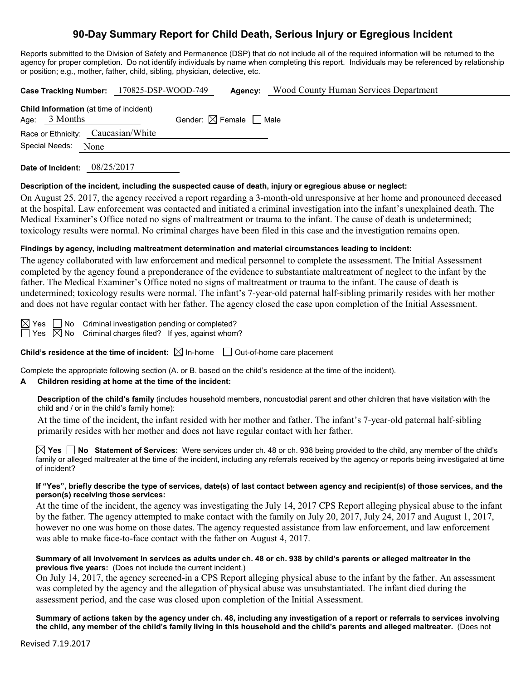# **90-Day Summary Report for Child Death, Serious Injury or Egregious Incident**

Reports submitted to the Division of Safety and Permanence (DSP) that do not include all of the required information will be returned to the agency for proper completion. Do not identify individuals by name when completing this report. Individuals may be referenced by relationship or position; e.g., mother, father, child, sibling, physician, detective, etc.

|                 | Case Tracking Number: 170825-DSP-WOOD-749      | Agency:                                | <b>Wood County Human Services Department</b> |
|-----------------|------------------------------------------------|----------------------------------------|----------------------------------------------|
| Age: $3$ Months | <b>Child Information</b> (at time of incident) | Gender: $\boxtimes$ Female $\Box$ Male |                                              |
|                 | Race or Ethnicity: Caucasian/White             |                                        |                                              |
| Special Needs:  | None                                           |                                        |                                              |
|                 |                                                |                                        |                                              |

**Date of Incident:** 08/25/2017

### **Description of the incident, including the suspected cause of death, injury or egregious abuse or neglect:**

On August 25, 2017, the agency received a report regarding a 3-month-old unresponsive at her home and pronounced deceased at the hospital. Law enforcement was contacted and initiated a criminal investigation into the infant's unexplained death. The Medical Examiner's Office noted no signs of maltreatment or trauma to the infant. The cause of death is undetermined; toxicology results were normal. No criminal charges have been filed in this case and the investigation remains open.

## **Findings by agency, including maltreatment determination and material circumstances leading to incident:**

The agency collaborated with law enforcement and medical personnel to complete the assessment. The Initial Assessment completed by the agency found a preponderance of the evidence to substantiate maltreatment of neglect to the infant by the father. The Medical Examiner's Office noted no signs of maltreatment or trauma to the infant. The cause of death is undetermined; toxicology results were normal. The infant's 7-year-old paternal half-sibling primarily resides with her mother and does not have regular contact with her father. The agency closed the case upon completion of the Initial Assessment.

 $\boxtimes$  Yes  $\Box$  No Criminal investigation pending or completed?

 $\Box$  Yes  $\boxtimes$  No Criminal charges filed? If yes, against whom?

**Child's residence at the time of incident:**  $\boxtimes$  In-home  $\Box$  Out-of-home care placement

Complete the appropriate following section (A. or B. based on the child's residence at the time of the incident).

## **A Children residing at home at the time of the incident:**

**Description of the child's family** (includes household members, noncustodial parent and other children that have visitation with the child and / or in the child's family home):

At the time of the incident, the infant resided with her mother and father. The infant's 7-year-old paternal half-sibling primarily resides with her mother and does not have regular contact with her father.

**Yes No** Statement of Services: Were services under ch. 48 or ch. 938 being provided to the child, any member of the child's family or alleged maltreater at the time of the incident, including any referrals received by the agency or reports being investigated at time of incident?

### **If "Yes", briefly describe the type of services, date(s) of last contact between agency and recipient(s) of those services, and the person(s) receiving those services:**

At the time of the incident, the agency was investigating the July 14, 2017 CPS Report alleging physical abuse to the infant by the father. The agency attempted to make contact with the family on July 20, 2017, July 24, 2017 and August 1, 2017, however no one was home on those dates. The agency requested assistance from law enforcement, and law enforcement was able to make face-to-face contact with the father on August 4, 2017.

### **Summary of all involvement in services as adults under ch. 48 or ch. 938 by child's parents or alleged maltreater in the previous five years:** (Does not include the current incident.)

On July 14, 2017, the agency screened-in a CPS Report alleging physical abuse to the infant by the father. An assessment was completed by the agency and the allegation of physical abuse was unsubstantiated. The infant died during the assessment period, and the case was closed upon completion of the Initial Assessment.

**Summary of actions taken by the agency under ch. 48, including any investigation of a report or referrals to services involving the child, any member of the child's family living in this household and the child's parents and alleged maltreater.** (Does not